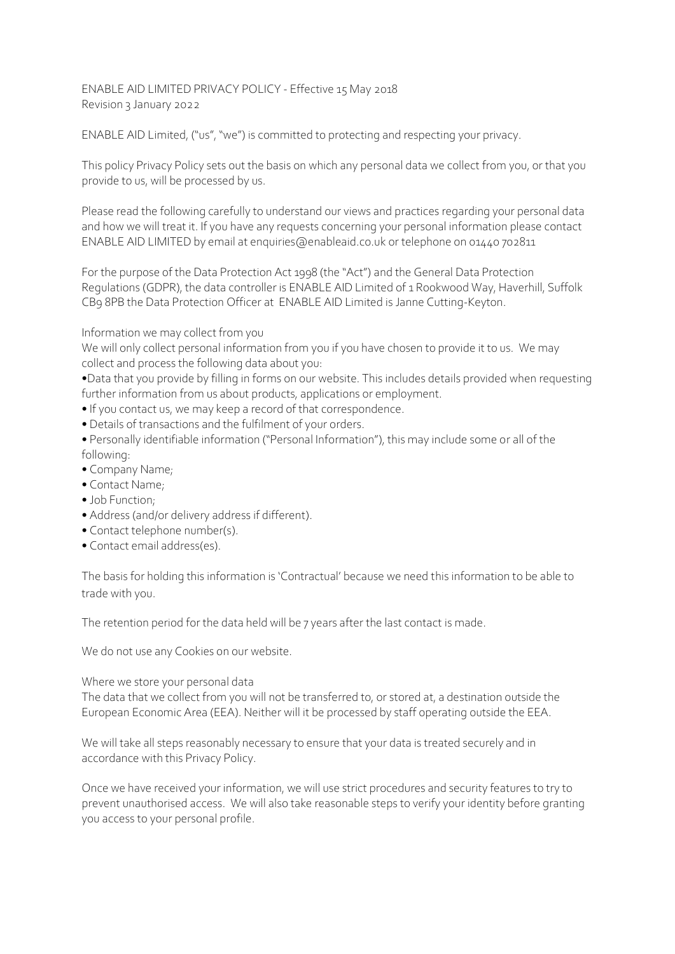ENABLE AID LIMITED PRIVACY POLICY - Effective 15 May 2018 Revision 3 January 2022

ENABLE AID Limited, ("us", "we") is committed to protecting and respecting your privacy.

This policy Privacy Policy sets out the basis on which any personal data we collect from you, or that you provide to us, will be processed by us.

Please read the following carefully to understand our views and practices regarding your personal data and how we will treat it. If you have any requests concerning your personal information please contact ENABLE AID LIMITED by email at enquiries@enableaid.co.uk or telephone on 01440 702811

For the purpose of the Data Protection Act 1998 (the "Act") and the General Data Protection Regulations (GDPR), the data controller is ENABLE AID Limited of 1 Rookwood Way, Haverhill, Suffolk CB9 8PB the Data Protection Officer at ENABLE AID Limited is Janne Cutting-Keyton.

Information we may collect from you

We will only collect personal information from you if you have chosen to provide it to us. We may collect and process the following data about you:

•Data that you provide by filling in forms on our website. This includes details provided when requesting further information from us about products, applications or employment.

- If you contact us, we may keep a record of that correspondence.
- Details of transactions and the fulfilment of your orders.
- Personally identifiable information ("Personal Information"), this may include some or all of the following:
- Company Name;
- Contact Name;
- Job Function;
- Address (and/or delivery address if different).
- Contact telephone number(s).
- Contact email address(es).

The basis for holding this information is 'Contractual' because we need this information to be able to trade with you.

The retention period for the data held will be 7 years after the last contact is made.

We do not use any Cookies on our website.

## Where we store your personal data

The data that we collect from you will not be transferred to, or stored at, a destination outside the European Economic Area (EEA). Neither will it be processed by staff operating outside the EEA.

We will take all steps reasonably necessary to ensure that your data is treated securely and in accordance with this Privacy Policy.

Once we have received your information, we will use strict procedures and security features to try to prevent unauthorised access. We will also take reasonable steps to verify your identity before granting you access to your personal profile.